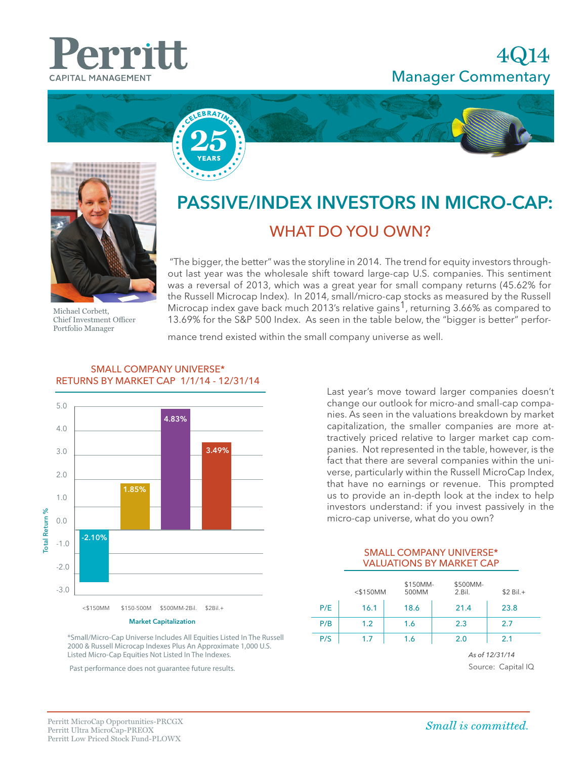## 4Q14 Manager Commentary







Michael Corbett, Chief Investment Officer Portfolio Manager

# PASSIVE/INDEX INVESTORS IN MICRO-CAP: WHAT DO YOU OWN?

 "The bigger, the better" was the storyline in 2014. The trend for equity investors throughout last year was the wholesale shift toward large-cap U.S. companies. This sentiment was a reversal of 2013, which was a great year for small company returns (45.62% for the Russell Microcap Index). In 2014, small/micro-cap stocks as measured by the Russell Microcap index gave back much 2013's relative gains<sup>1</sup>, returning 3.66% as compared to 13.69% for the S&P 500 Index. As seen in the table below, the "bigger is better" perfor-

mance trend existed within the small company universe as well.



#### SMALL COMPANY UNIVERSE\* RETURNS BY MARKET CAP 1/1/14 - 12/31/14

Last year's move toward larger companies doesn't change our outlook for micro-and small-cap companies. As seen in the valuations breakdown by market capitalization, the smaller companies are more attractively priced relative to larger market cap companies. Not represented in the table, however, is the fact that there are several companies within the universe, particularly within the Russell MicroCap Index, that have no earnings or revenue. This prompted us to provide an in-depth look at the index to help investors understand: if you invest passively in the micro-cap universe, what do you own?

#### SMALL COMPANY UNIVERSE\* VALUATIONS BY MARKET CAP

|     | $<$ \$150MM | \$150MM-<br>500MM | \$500MM-<br>2.Bil. | $$2$ Bil. $+$ |  |
|-----|-------------|-------------------|--------------------|---------------|--|
| P/E | 16.1        | 18.6              | 21.4               | 23.8          |  |
| P/B | 1.2         | 1.6               | 2.3                | 2.7           |  |
| P/S | 1.7         | 1.6               | 2.0                | 2.1           |  |
|     |             |                   | As of 12/31/14     |               |  |
|     |             |                   | Source: Capital IQ |               |  |

\*Small/Micro-Cap Universe Includes All Equities Listed In The Russell 2000 & Russell Microcap Indexes Plus An Approximate 1,000 U.S. Listed Micro-Cap Equities Not Listed In The Indexes.

Past performance does not guarantee future results.

Small is committed.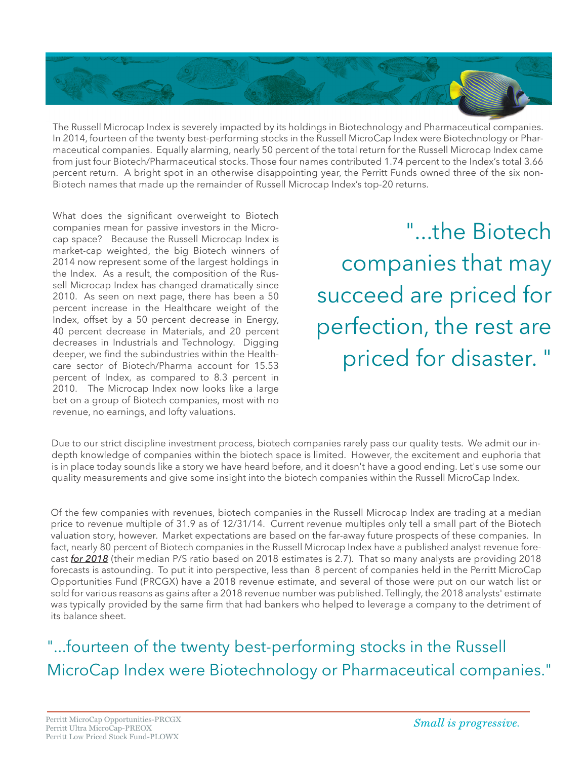

The Russell Microcap Index is severely impacted by its holdings in Biotechnology and Pharmaceutical companies. In 2014, fourteen of the twenty best-performing stocks in the Russell MicroCap Index were Biotechnology or Pharmaceutical companies. Equally alarming, nearly 50 percent of the total return for the Russell Microcap Index came from just four Biotech/Pharmaceutical stocks. Those four names contributed 1.74 percent to the Index's total 3.66 percent return. A bright spot in an otherwise disappointing year, the Perritt Funds owned three of the six non-Biotech names that made up the remainder of Russell Microcap Index's top-20 returns.

What does the significant overweight to Biotech companies mean for passive investors in the Microcap space? Because the Russell Microcap Index is market-cap weighted, the big Biotech winners of 2014 now represent some of the largest holdings in the Index. As a result, the composition of the Russell Microcap Index has changed dramatically since 2010. As seen on next page, there has been a 50 percent increase in the Healthcare weight of the Index, offset by a 50 percent decrease in Energy, 40 percent decrease in Materials, and 20 percent decreases in Industrials and Technology. Digging deeper, we find the subindustries within the Healthcare sector of Biotech/Pharma account for 15.53 percent of Index, as compared to 8.3 percent in 2010. The Microcap Index now looks like a large bet on a group of Biotech companies, most with no revenue, no earnings, and lofty valuations.

"...the Biotech companies that may succeed are priced for perfection, the rest are priced for disaster. "

Due to our strict discipline investment process, biotech companies rarely pass our quality tests. We admit our indepth knowledge of companies within the biotech space is limited. However, the excitement and euphoria that is in place today sounds like a story we have heard before, and it doesn't have a good ending. Let's use some our quality measurements and give some insight into the biotech companies within the Russell MicroCap Index.

Of the few companies with revenues, biotech companies in the Russell Microcap Index are trading at a median price to revenue multiple of 31.9 as of 12/31/14. Current revenue multiples only tell a small part of the Biotech valuation story, however. Market expectations are based on the far-away future prospects of these companies. In fact, nearly 80 percent of Biotech companies in the Russell Microcap Index have a published analyst revenue forecast *for 2018* (their median P/S ratio based on 2018 estimates is 2.7). That so many analysts are providing 2018 forecasts is astounding. To put it into perspective, less than 8 percent of companies held in the Perritt MicroCap Opportunities Fund (PRCGX) have a 2018 revenue estimate, and several of those were put on our watch list or sold for various reasons as gains after a 2018 revenue number was published. Tellingly, the 2018 analysts' estimate was typically provided by the same firm that had bankers who helped to leverage a company to the detriment of its balance sheet.

"...fourteen of the twenty best-performing stocks in the Russell MicroCap Index were Biotechnology or Pharmaceutical companies."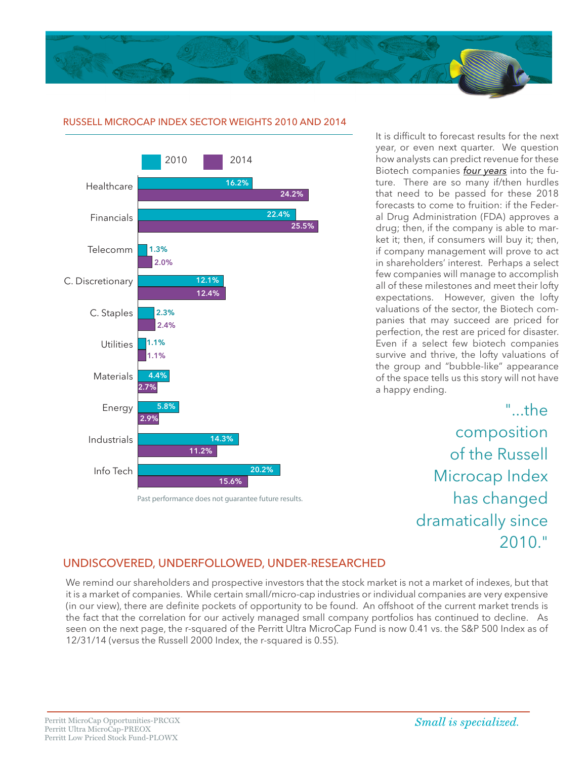



#### RUSSELL MICROCAP INDEX SECTOR WEIGHTS 2010 AND 2014

Past performance does not guarantee future results.

It is difficult to forecast results for the next year, or even next quarter. We question how analysts can predict revenue for these Biotech companies *four years* into the future. There are so many if/then hurdles that need to be passed for these 2018 forecasts to come to fruition: if the Federal Drug Administration (FDA) approves a drug; then, if the company is able to market it; then, if consumers will buy it; then, if company management will prove to act in shareholders' interest. Perhaps a select few companies will manage to accomplish all of these milestones and meet their lofty expectations. However, given the lofty valuations of the sector, the Biotech companies that may succeed are priced for perfection, the rest are priced for disaster. Even if a select few biotech companies survive and thrive, the lofty valuations of the group and "bubble-like" appearance of the space tells us this story will not have a happy ending.

> " the composition of the Russell Microcap Index has changed dramatically since  $2010$ "

### 0 5 10 15 20 25 30 UNDISCOVERED, UNDERFOLLOWED, UNDER-RESEARCHED

We remind our shareholders and prospective investors that the stock market is not a market of indexes, but that it is a market of companies. While certain small/micro-cap industries or individual companies are very expensive (in our view), there are definite pockets of opportunity to be found. An offshoot of the current market trends is the fact that the correlation for our actively managed small company portfolios has continued to decline. As seen on the next page, the r-squared of the Perritt Ultra MicroCap Fund is now 0.41 vs. the S&P 500 Index as of 12/31/14 (versus the Russell 2000 Index, the r-squared is 0.55).